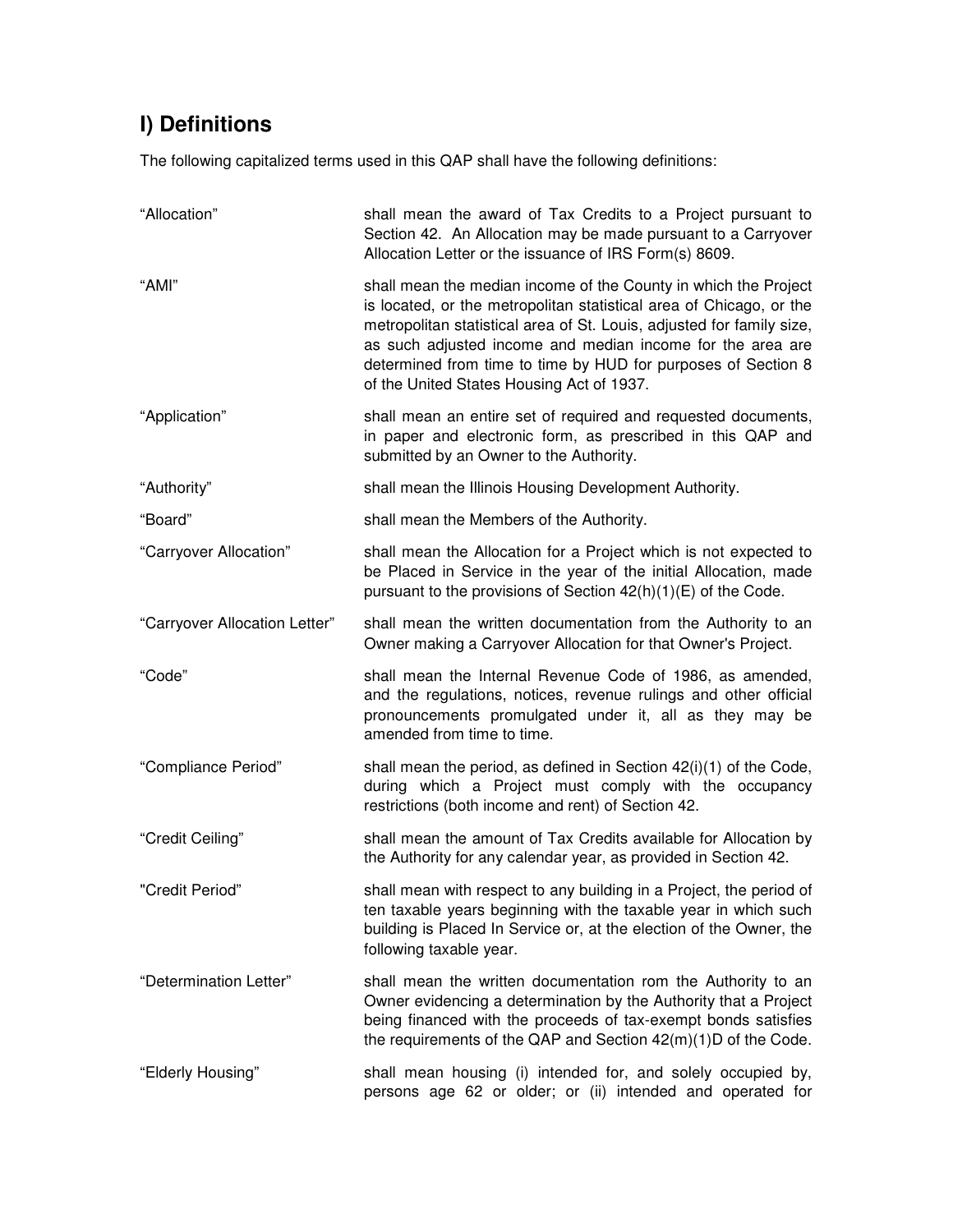## **I) Definitions**

The following capitalized terms used in this QAP shall have the following definitions:

| "Allocation"                  | shall mean the award of Tax Credits to a Project pursuant to<br>Section 42. An Allocation may be made pursuant to a Carryover<br>Allocation Letter or the issuance of IRS Form(s) 8609.                                                                                                                                                                                                     |
|-------------------------------|---------------------------------------------------------------------------------------------------------------------------------------------------------------------------------------------------------------------------------------------------------------------------------------------------------------------------------------------------------------------------------------------|
| "AMI"                         | shall mean the median income of the County in which the Project<br>is located, or the metropolitan statistical area of Chicago, or the<br>metropolitan statistical area of St. Louis, adjusted for family size,<br>as such adjusted income and median income for the area are<br>determined from time to time by HUD for purposes of Section 8<br>of the United States Housing Act of 1937. |
| "Application"                 | shall mean an entire set of required and requested documents,<br>in paper and electronic form, as prescribed in this QAP and<br>submitted by an Owner to the Authority.                                                                                                                                                                                                                     |
| "Authority"                   | shall mean the Illinois Housing Development Authority.                                                                                                                                                                                                                                                                                                                                      |
| "Board"                       | shall mean the Members of the Authority.                                                                                                                                                                                                                                                                                                                                                    |
| "Carryover Allocation"        | shall mean the Allocation for a Project which is not expected to<br>be Placed in Service in the year of the initial Allocation, made<br>pursuant to the provisions of Section 42(h)(1)(E) of the Code.                                                                                                                                                                                      |
| "Carryover Allocation Letter" | shall mean the written documentation from the Authority to an<br>Owner making a Carryover Allocation for that Owner's Project.                                                                                                                                                                                                                                                              |
| "Code"                        | shall mean the Internal Revenue Code of 1986, as amended,<br>and the regulations, notices, revenue rulings and other official<br>pronouncements promulgated under it, all as they may be<br>amended from time to time.                                                                                                                                                                      |
| "Compliance Period"           | shall mean the period, as defined in Section 42(i)(1) of the Code,<br>during which a Project must comply with the occupancy<br>restrictions (both income and rent) of Section 42.                                                                                                                                                                                                           |
| "Credit Ceiling"              | shall mean the amount of Tax Credits available for Allocation by<br>the Authority for any calendar year, as provided in Section 42.                                                                                                                                                                                                                                                         |
| "Credit Period"               | shall mean with respect to any building in a Project, the period of<br>ten taxable years beginning with the taxable year in which such<br>building is Placed In Service or, at the election of the Owner, the<br>following taxable year.                                                                                                                                                    |
| "Determination Letter"        | shall mean the written documentation rom the Authority to an<br>Owner evidencing a determination by the Authority that a Project<br>being financed with the proceeds of tax-exempt bonds satisfies<br>the requirements of the QAP and Section 42(m)(1)D of the Code.                                                                                                                        |
| "Elderly Housing"             | shall mean housing (i) intended for, and solely occupied by,<br>persons age 62 or older; or (ii) intended and operated for                                                                                                                                                                                                                                                                  |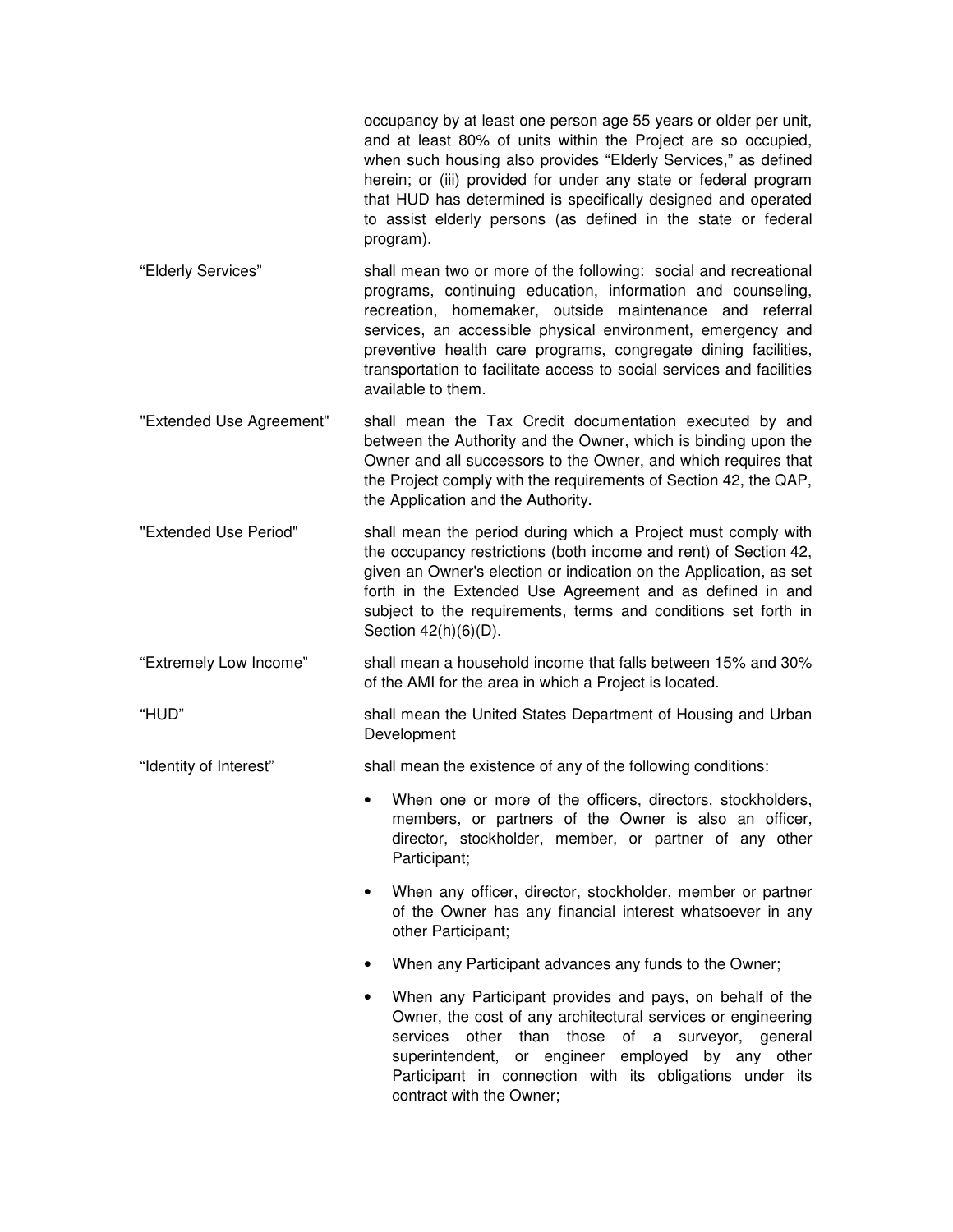occupancy by at least one person age 55 years or older per unit, and at least 80% of units within the Project are so occupied, when such housing also provides "Elderly Services," as defined herein; or (iii) provided for under any state or federal program that HUD has determined is specifically designed and operated to assist elderly persons (as defined in the state or federal program).

- "Elderly Services" shall mean two or more of the following: social and recreational programs, continuing education, information and counseling, recreation, homemaker, outside maintenance and referral services, an accessible physical environment, emergency and preventive health care programs, congregate dining facilities, transportation to facilitate access to social services and facilities available to them.
- "Extended Use Agreement" shall mean the Tax Credit documentation executed by and between the Authority and the Owner, which is binding upon the Owner and all successors to the Owner, and which requires that the Project comply with the requirements of Section 42, the QAP, the Application and the Authority.
- "Extended Use Period" shall mean the period during which a Project must comply with the occupancy restrictions (both income and rent) of Section 42, given an Owner's election or indication on the Application, as set forth in the Extended Use Agreement and as defined in and subject to the requirements, terms and conditions set forth in Section 42(h)(6)(D).
- "Extremely Low Income" shall mean a household income that falls between 15% and 30% of the AMI for the area in which a Project is located.

"HUD" shall mean the United States Department of Housing and Urban Development

- "Identity of Interest" shall mean the existence of any of the following conditions:
	- When one or more of the officers, directors, stockholders, members, or partners of the Owner is also an officer, director, stockholder, member, or partner of any other Participant:
	- When any officer, director, stockholder, member or partner of the Owner has any financial interest whatsoever in any other Participant;
	- When any Participant advances any funds to the Owner;
	- When any Participant provides and pays, on behalf of the Owner, the cost of any architectural services or engineering services other than those of a surveyor, general superintendent, or engineer employed by any other Participant in connection with its obligations under its contract with the Owner;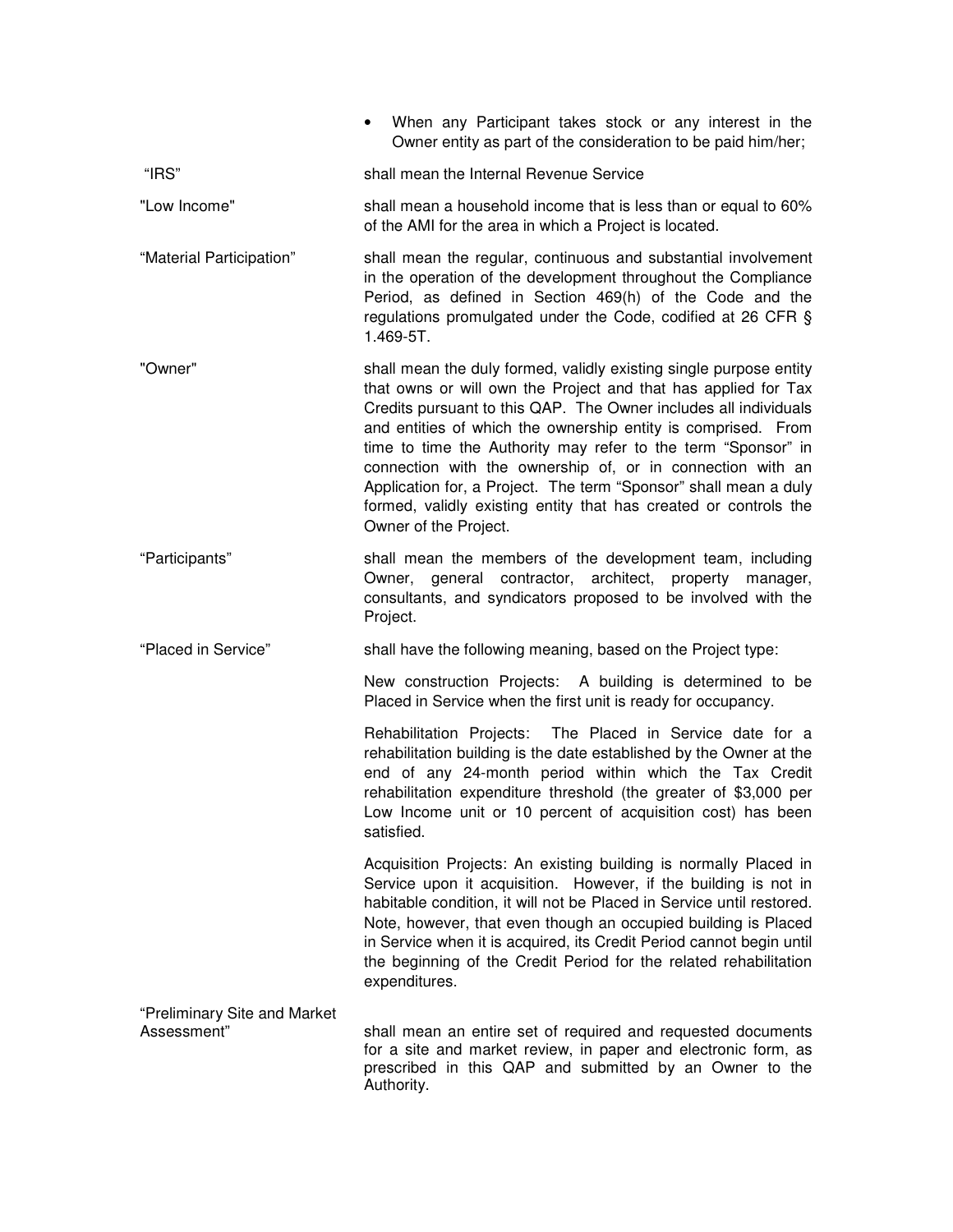|                                             | • When any Participant takes stock or any interest in the<br>Owner entity as part of the consideration to be paid him/her;                                                                                                                                                                                                                                                                                                                                                                                                                                                |
|---------------------------------------------|---------------------------------------------------------------------------------------------------------------------------------------------------------------------------------------------------------------------------------------------------------------------------------------------------------------------------------------------------------------------------------------------------------------------------------------------------------------------------------------------------------------------------------------------------------------------------|
| "IRS"                                       | shall mean the Internal Revenue Service                                                                                                                                                                                                                                                                                                                                                                                                                                                                                                                                   |
| "Low Income"                                | shall mean a household income that is less than or equal to 60%<br>of the AMI for the area in which a Project is located.                                                                                                                                                                                                                                                                                                                                                                                                                                                 |
| "Material Participation"                    | shall mean the regular, continuous and substantial involvement<br>in the operation of the development throughout the Compliance<br>Period, as defined in Section 469(h) of the Code and the<br>regulations promulgated under the Code, codified at 26 CFR §<br>1.469-5T.                                                                                                                                                                                                                                                                                                  |
| "Owner"                                     | shall mean the duly formed, validly existing single purpose entity<br>that owns or will own the Project and that has applied for Tax<br>Credits pursuant to this QAP. The Owner includes all individuals<br>and entities of which the ownership entity is comprised. From<br>time to time the Authority may refer to the term "Sponsor" in<br>connection with the ownership of, or in connection with an<br>Application for, a Project. The term "Sponsor" shall mean a duly<br>formed, validly existing entity that has created or controls the<br>Owner of the Project. |
| "Participants"                              | shall mean the members of the development team, including<br>Owner, general contractor, architect, property manager,<br>consultants, and syndicators proposed to be involved with the<br>Project.                                                                                                                                                                                                                                                                                                                                                                         |
| "Placed in Service"                         | shall have the following meaning, based on the Project type:                                                                                                                                                                                                                                                                                                                                                                                                                                                                                                              |
|                                             | New construction Projects: A building is determined to be<br>Placed in Service when the first unit is ready for occupancy.                                                                                                                                                                                                                                                                                                                                                                                                                                                |
|                                             | Rehabilitation Projects: The Placed in Service date for a<br>rehabilitation building is the date established by the Owner at the<br>end of any 24-month period within which the Tax Credit<br>rehabilitation expenditure threshold (the greater of \$3,000 per<br>Low Income unit or 10 percent of acquisition cost) has been<br>satisfied.                                                                                                                                                                                                                               |
|                                             | Acquisition Projects: An existing building is normally Placed in<br>Service upon it acquisition. However, if the building is not in<br>habitable condition, it will not be Placed in Service until restored.<br>Note, however, that even though an occupied building is Placed<br>in Service when it is acquired, its Credit Period cannot begin until<br>the beginning of the Credit Period for the related rehabilitation<br>expenditures.                                                                                                                              |
| "Preliminary Site and Market<br>Assessment" | shall mean an entire set of required and requested documents<br>for a site and market review, in paper and electronic form, as<br>prescribed in this QAP and submitted by an Owner to the<br>Authority.                                                                                                                                                                                                                                                                                                                                                                   |